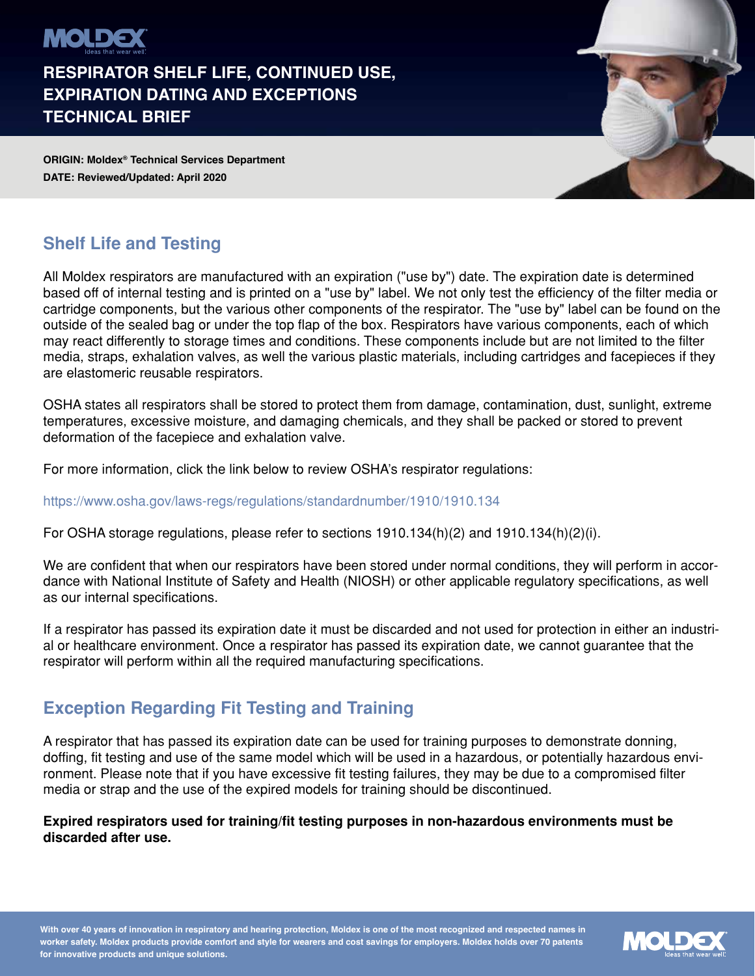

**RESPIRATOR SHELF LIFE, CONTINUED USE, EXPIRATION DATING AND EXCEPTIONS TECHNICAL BRIEF**

**ORIGIN: Moldex® Technical Services Department DATE: Reviewed/Updated: April 2020**



# **Shelf Life and Testing**

All Moldex respirators are manufactured with an expiration ("use by") date. The expiration date is determined based off of internal testing and is printed on a "use by" label. We not only test the efficiency of the filter media or cartridge components, but the various other components of the respirator. The "use by" label can be found on the outside of the sealed bag or under the top flap of the box. Respirators have various components, each of which may react differently to storage times and conditions. These components include but are not limited to the filter media, straps, exhalation valves, as well the various plastic materials, including cartridges and facepieces if they are elastomeric reusable respirators.

OSHA states all respirators shall be stored to protect them from damage, contamination, dust, sunlight, extreme temperatures, excessive moisture, and damaging chemicals, and they shall be packed or stored to prevent deformation of the facepiece and exhalation valve.

For more information, click the link below to review OSHA's respirator regulations:

https://www.osha.gov/laws-regs/regulations/standardnumber/1910/1910.134

For OSHA storage regulations, please refer to sections 1910.134(h)(2) and 1910.134(h)(2)(i).

We are confident that when our respirators have been stored under normal conditions, they will perform in accordance with National Institute of Safety and Health (NIOSH) or other applicable regulatory specifications, as well as our internal specifications.

If a respirator has passed its expiration date it must be discarded and not used for protection in either an industrial or healthcare environment. Once a respirator has passed its expiration date, we cannot guarantee that the respirator will perform within all the required manufacturing specifications.

## **Exception Regarding Fit Testing and Training**

A respirator that has passed its expiration date can be used for training purposes to demonstrate donning, doffing, fit testing and use of the same model which will be used in a hazardous, or potentially hazardous environment. Please note that if you have excessive fit testing failures, they may be due to a compromised filter media or strap and the use of the expired models for training should be discontinued.

#### **Expired respirators used for training/fit testing purposes in non-hazardous environments must be discarded after use.**

**With over 40 years of innovation in respiratory and hearing protection, Moldex is one of the most recognized and respected names in worker safety. Moldex products provide comfort and style for wearers and cost savings for employers. Moldex holds over 70 patents for innovative products and unique solutions.**